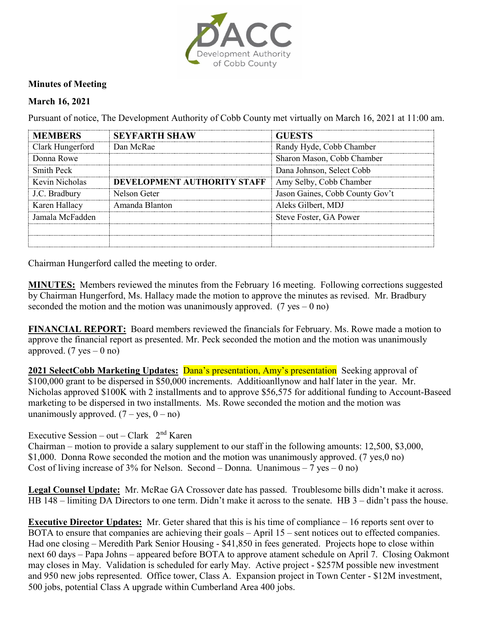

## **Minutes of Meeting**

## **March 16, 2021**

Pursuant of notice, The Development Authority of Cobb County met virtually on March 16, 2021 at 11:00 am.

| <b>MEMBERS</b>    | <b>SEYFARTH SHAW</b>        | <b>GUESTS</b>                   |
|-------------------|-----------------------------|---------------------------------|
| Clark Hungerford  | Dan McRae                   | Randy Hyde, Cobb Chamber        |
| Donna Rowe        |                             | Sharon Mason, Cobb Chamber      |
| <b>Smith Peck</b> |                             | Dana Johnson, Select Cobb       |
| Kevin Nicholas    | DEVELOPMENT AUTHORITY STAFF | Amy Selby, Cobb Chamber         |
| J.C. Bradbury     | Nelson Geter                | Jason Gaines, Cobb County Gov't |
| Karen Hallacy     | Amanda Blanton              | Aleks Gilbert, MDJ              |
| Jamala McFadden   |                             | Steve Foster, GA Power          |
|                   |                             |                                 |
|                   |                             |                                 |

Chairman Hungerford called the meeting to order.

**MINUTES:** Members reviewed the minutes from the February 16 meeting. Following corrections suggested by Chairman Hungerford, Ms. Hallacy made the motion to approve the minutes as revised. Mr. Bradbury seconded the motion and the motion was unanimously approved. (7 yes – 0 no)

**FINANCIAL REPORT:** Board members reviewed the financials for February. Ms. Rowe made a motion to approve the financial report as presented. Mr. Peck seconded the motion and the motion was unanimously approved.  $(7 \text{ yes} - 0 \text{ no})$ 

**2021 SelectCobb Marketing Updates: Dana's presentation, Amy's presentation** Seeking approval of \$100,000 grant to be dispersed in \$50,000 increments. Additioanllynow and half later in the year. Mr. Nicholas approved \$100K with 2 installments and to approve \$56,575 for additional funding to Account-Baseed marketing to be dispersed in two installments. Ms. Rowe seconded the motion and the motion was unanimously approved.  $(7 - yes, 0 - no)$ 

## Executive Session – out – Clark  $2<sup>nd</sup>$  Karen

Chairman – motion to provide a salary supplement to our staff in the following amounts: 12,500, \$3,000, \$1,000. Donna Rowe seconded the motion and the motion was unanimously approved. (7 yes,0 no) Cost of living increase of 3% for Nelson. Second – Donna. Unanimous – 7 yes – 0 no)

**Legal Counsel Update:** Mr. McRae GA Crossover date has passed. Troublesome bills didn't make it across. HB 148 – limiting DA Directors to one term. Didn't make it across to the senate. HB 3 – didn't pass the house.

**Executive Director Updates:** Mr. Geter shared that this is his time of compliance – 16 reports sent over to BOTA to ensure that companies are achieving their goals – April 15 – sent notices out to effected companies. Had one closing – Meredith Park Senior Housing - \$41,850 in fees generated. Projects hope to close within next 60 days – Papa Johns – appeared before BOTA to approve atament schedule on April 7. Closing Oakmont may closes in May. Validation is scheduled for early May. Active project - \$257M possible new investment and 950 new jobs represented. Office tower, Class A. Expansion project in Town Center - \$12M investment, 500 jobs, potential Class A upgrade within Cumberland Area 400 jobs.